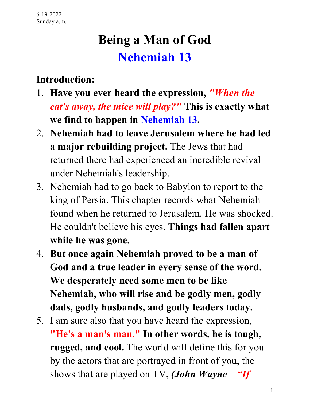# **Being a Man of God Nehemiah 13**

#### **Introduction:**

- 1. **Have you ever heard the expression,** *"When the cat's away, the mice will play?"* **This is exactly what we find to happen in Nehemiah 13.**
- 2. **Nehemiah had to leave Jerusalem where he had led a major rebuilding project.** The Jews that had returned there had experienced an incredible revival under Nehemiah's leadership.
- 3. Nehemiah had to go back to Babylon to report to the king of Persia. This chapter records what Nehemiah found when he returned to Jerusalem. He was shocked. He couldn't believe his eyes. **Things had fallen apart while he was gone.**
- 4. **But once again Nehemiah proved to be a man of God and a true leader in every sense of the word. We desperately need some men to be like Nehemiah, who will rise and be godly men, godly dads, godly husbands, and godly leaders today.**
- 5. I am sure also that you have heard the expression, **"He's a man's man." In other words, he is tough, rugged, and cool.** The world will define this for you by the actors that are portrayed in front of you, the shows that are played on TV, *(John Wayne – "If*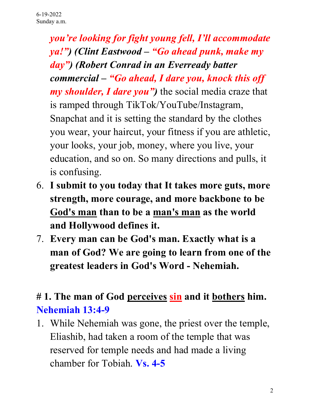*you're looking for fight young fell, I'll accommodate ya!") (Clint Eastwood – "Go ahead punk, make my day") (Robert Conrad in an Everready batter commercial – "Go ahead, I dare you, knock this off my shoulder, I dare you")* the social media craze that is ramped through TikTok/YouTube/Instagram, Snapchat and it is setting the standard by the clothes you wear, your haircut, your fitness if you are athletic, your looks, your job, money, where you live, your education, and so on. So many directions and pulls, it is confusing.

- 6. **I submit to you today that It takes more guts, more strength, more courage, and more backbone to be God's man than to be a man's man as the world and Hollywood defines it.**
- 7. **Every man can be God's man. Exactly what is a man of God? We are going to learn from one of the greatest leaders in God's Word - Nehemiah.**

#### **# 1. The man of God perceives sin and it bothers him. Nehemiah 13:4-9**

1. While Nehemiah was gone, the priest over the temple, Eliashib, had taken a room of the temple that was reserved for temple needs and had made a living chamber for Tobiah. **Vs. 4-5**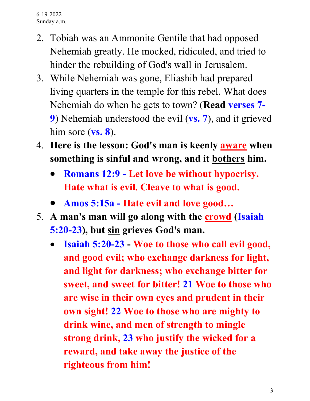- 2. Tobiah was an Ammonite Gentile that had opposed Nehemiah greatly. He mocked, ridiculed, and tried to hinder the rebuilding of God's wall in Jerusalem.
- 3. While Nehemiah was gone, Eliashib had prepared living quarters in the temple for this rebel. What does Nehemiah do when he gets to town? (**Read verses 7- 9**) Nehemiah understood the evil (**vs. 7**), and it grieved him sore (**vs. 8**).
- 4. **Here is the lesson: God's man is keenly aware when something is sinful and wrong, and it bothers him.**
	- **Romans 12:9 - Let love be without hypocrisy. Hate what is evil. Cleave to what is good.**
	- **Amos 5:15a - Hate evil and love good…**
- 5. **A man's man will go along with the crowd (Isaiah 5:20-23), but sin grieves God's man.**
	- **Isaiah 5:20-23 - Woe to those who call evil good, and good evil; who exchange darkness for light, and light for darkness; who exchange bitter for sweet, and sweet for bitter! 21 Woe to those who are wise in their own eyes and prudent in their own sight! 22 Woe to those who are mighty to drink wine, and men of strength to mingle strong drink, 23 who justify the wicked for a reward, and take away the justice of the righteous from him!**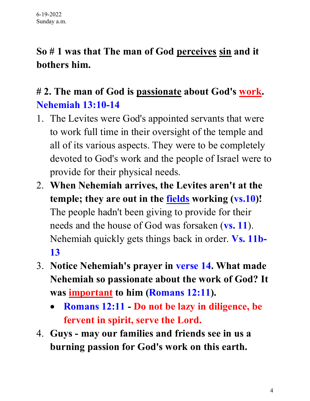### **So # 1 was that The man of God perceives sin and it bothers him.**

#### **# 2. The man of God is passionate about God's work. Nehemiah 13:10-14**

- 1. The Levites were God's appointed servants that were to work full time in their oversight of the temple and all of its various aspects. They were to be completely devoted to God's work and the people of Israel were to provide for their physical needs.
- 2. **When Nehemiah arrives, the Levites aren't at the temple; they are out in the fields working (vs.10)!** The people hadn't been giving to provide for their needs and the house of God was forsaken (**vs. 11**). Nehemiah quickly gets things back in order. **Vs. 11b-13**
- 3. **Notice Nehemiah's prayer in verse 14. What made Nehemiah so passionate about the work of God? It was important to him (Romans 12:11).**
	- **Romans 12:11 - Do not be lazy in diligence, be fervent in spirit, serve the Lord.**
- 4. **Guys - may our families and friends see in us a burning passion for God's work on this earth.**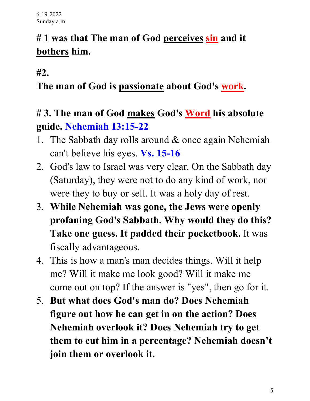## **# 1 was that The man of God perceives sin and it bothers him.**

**#2.** 

#### **The man of God is passionate about God's work.**

#### **# 3. The man of God makes God's Word his absolute guide. Nehemiah 13:15-22**

- 1. The Sabbath day rolls around & once again Nehemiah can't believe his eyes. **Vs. 15-16**
- 2. God's law to Israel was very clear. On the Sabbath day (Saturday), they were not to do any kind of work, nor were they to buy or sell. It was a holy day of rest.
- 3. **While Nehemiah was gone, the Jews were openly profaning God's Sabbath. Why would they do this? Take one guess. It padded their pocketbook.** It was fiscally advantageous.
- 4. This is how a man's man decides things. Will it help me? Will it make me look good? Will it make me come out on top? If the answer is "yes", then go for it.
- 5. **But what does God's man do? Does Nehemiah figure out how he can get in on the action? Does Nehemiah overlook it? Does Nehemiah try to get them to cut him in a percentage? Nehemiah doesn't join them or overlook it.**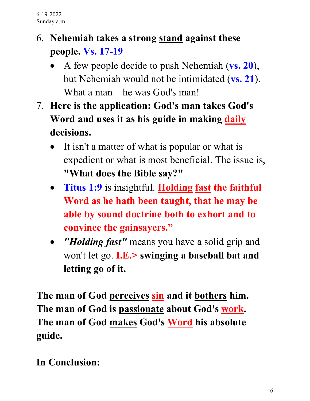### 6. **Nehemiah takes a strong stand against these people. Vs. 17-19**

- A few people decide to push Nehemiah (**vs. 20**), but Nehemiah would not be intimidated (**vs. 21**). What a man – he was God's man!
- 7. **Here is the application: God's man takes God's Word and uses it as his guide in making daily decisions.**
	- It isn't a matter of what is popular or what is expedient or what is most beneficial. The issue is, **"What does the Bible say?"**
	- **Titus 1:9** is insightful. **Holding fast the faithful Word as he hath been taught, that he may be able by sound doctrine both to exhort and to convince the gainsayers."**
	- *Holding fast"* means you have a solid grip and won't let go. **I.E.> swinging a baseball bat and letting go of it.**

**The man of God perceives sin and it bothers him. The man of God is passionate about God's work. The man of God makes God's Word his absolute guide.**

**In Conclusion:**